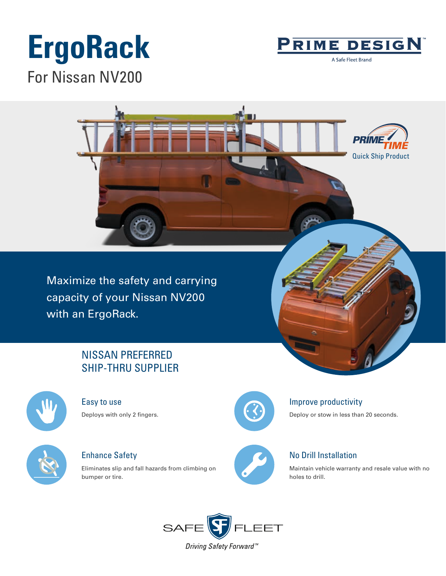# **ErgoRack** For Nissan NV200



A Safe Fleet Brand



Maximize the safety and carrying capacity of your Nissan NV200 with an ErgoRack.

## NISSAN PREFERRED SHIP-THRU SUPPLIER



Easy to use Deploys with only 2 fingers.



Enhance Safety

Eliminates slip and fall hazards from climbing on bumper or tire.



### Improve productivity

Deploy or stow in less than 20 seconds.



### No Drill Installation

Maintain vehicle warranty and resale value with no holes to drill.